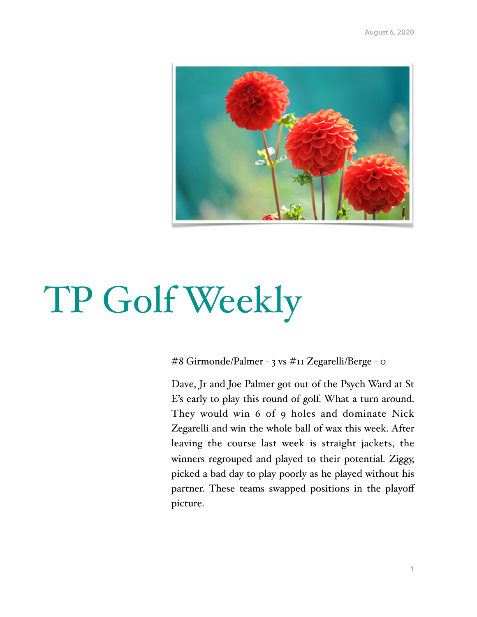

## TP Golf Weekly

#8 Girmonde/Palmer - 3 vs #11 Zegarelli/Berge - 0

Dave, Jr and Joe Palmer got out of the Psych Ward at St E's early to play this round of golf. What a turn around. They would win 6 of 9 holes and dominate Nick Zegarelli and win the whole ball of wax this week. After leaving the course last week is straight jackets, the winners regrouped and played to their potential. Ziggy, picked a bad day to play poorly as he played without his partner. These teams swapped positions in the playoff picture.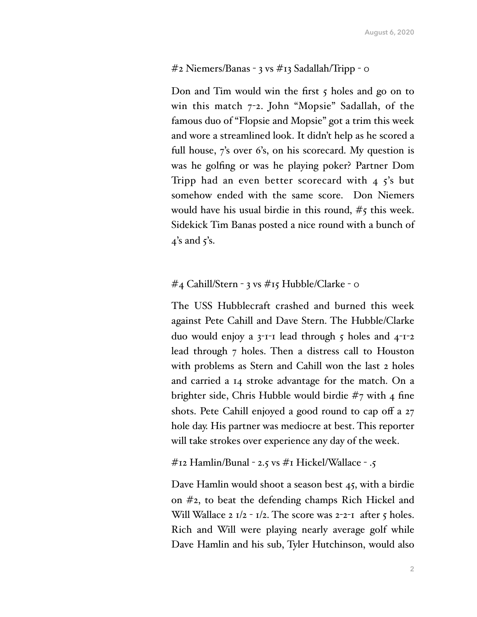## #2 Niemers/Banas - 3 vs #13 Sadallah/Tripp - 0

Don and Tim would win the first  $\zeta$  holes and go on to win this match  $7$ -2. John "Mopsie" Sadallah, of the famous duo of "Flopsie and Mopsie" got a trim this week and wore a streamlined look. It didn't help as he scored a full house, 7's over 6's, on his scorecard. My question is was he golfing or was he playing poker? Partner Dom Tripp had an even better scorecard with  $4\frac{1}{3}$ 's but somehow ended with the same score. Don Niemers would have his usual birdie in this round,  $\#$ 5 this week. Sidekick Tim Banas posted a nice round with a bunch of  $\frac{1}{4}$ 's and  $\frac{1}{5}$ 's.

## #4 Cahill/Stern - 3 vs #15 Hubble/Clarke - 0

The USS Hubblecraft crashed and burned this week against Pete Cahill and Dave Stern. The Hubble/Clarke duo would enjoy a  $3$ -1-1 lead through  $5$  holes and  $4$ -1-2 lead through 7 holes. Then a distress call to Houston with problems as Stern and Cahill won the last 2 holes and carried a 14 stroke advantage for the match. On a brighter side, Chris Hubble would birdie #7 with 4 fine shots. Pete Cahill enjoyed a good round to cap off a 27 hole day. His partner was mediocre at best. This reporter will take strokes over experience any day of the week.

```
\#12 Hamlin/Bunal - 2.5 vs \#I Hickel/Wallace - .5
```
Dave Hamlin would shoot a season best 45, with a birdie on #2, to beat the defending champs Rich Hickel and Will Wallace 2  $1/2 - 1/2$ . The score was  $2 - 2 - 1$  after 5 holes. Rich and Will were playing nearly average golf while Dave Hamlin and his sub, Tyler Hutchinson, would also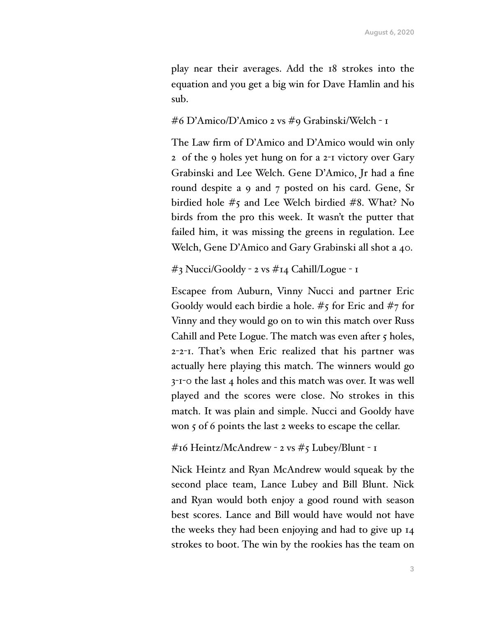play near their averages. Add the 18 strokes into the equation and you get a big win for Dave Hamlin and his sub.

#6 D'Amico/D'Amico 2 vs #9 Grabinski/Welch - 1

The Law firm of D'Amico and D'Amico would win only 2 of the 9 holes yet hung on for a 2-1 victory over Gary Grabinski and Lee Welch. Gene D'Amico, Jr had a fine round despite a 9 and 7 posted on his card. Gene, Sr birdied hole #5 and Lee Welch birdied #8. What? No birds from the pro this week. It wasn't the putter that failed him, it was missing the greens in regulation. Lee Welch, Gene D'Amico and Gary Grabinski all shot a 40.

#3 Nucci/Gooldy - 2 vs #14 Cahill/Logue - 1

Escapee from Auburn, Vinny Nucci and partner Eric Gooldy would each birdie a hole. #5 for Eric and #7 for Vinny and they would go on to win this match over Russ Cahill and Pete Logue. The match was even after 5 holes, 2-2-1. That's when Eric realized that his partner was actually here playing this match. The winners would go 3-1-0 the last 4 holes and this match was over. It was well played and the scores were close. No strokes in this match. It was plain and simple. Nucci and Gooldy have won 5 of 6 points the last 2 weeks to escape the cellar.

#16 Heintz/McAndrew - 2 vs #5 Lubey/Blunt - 1

Nick Heintz and Ryan McAndrew would squeak by the second place team, Lance Lubey and Bill Blunt. Nick and Ryan would both enjoy a good round with season best scores. Lance and Bill would have would not have the weeks they had been enjoying and had to give up 14 strokes to boot. The win by the rookies has the team on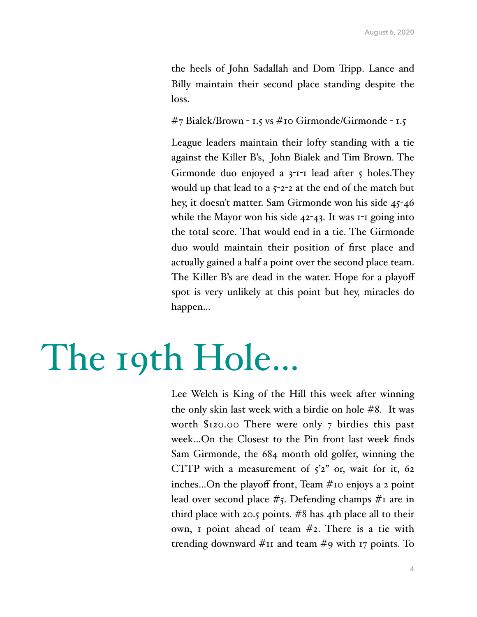the heels of John Sadallah and Dom Tripp. Lance and Billy maintain their second place standing despite the loss.

#7 Bialek/Brown - 1.5 vs #10 Girmonde/Girmonde - 1.5

League leaders maintain their lofty standing with a tie against the Killer B's, John Bialek and Tim Brown. The Girmonde duo enjoyed a  $3$ -1-1 lead after  $5$  holes. They would up that lead to a  $5-2-2$  at the end of the match but hey, it doesn't matter. Sam Girmonde won his side 45-46 while the Mayor won his side 42-43. It was 1-1 going into the total score. That would end in a tie. The Girmonde duo would maintain their position of first place and actually gained a half a point over the second place team. The Killer B's are dead in the water. Hope for a playoff spot is very unlikely at this point but hey, miracles do happen…

## The 19th Hole…

Lee Welch is King of the Hill this week after winning the only skin last week with a birdie on hole #8. It was worth \$120.00 There were only 7 birdies this past week…On the Closest to the Pin front last week finds Sam Girmonde, the 684 month old golfer, winning the CTTP with a measurement of  $5^2$  or, wait for it, 62 inches…On the playoff front, Team #10 enjoys a 2 point lead over second place  $\#$ 5. Defending champs  $\#$ I are in third place with 20.5 points. #8 has 4th place all to their own, 1 point ahead of team #2. There is a tie with trending downward #11 and team #9 with 17 points. To